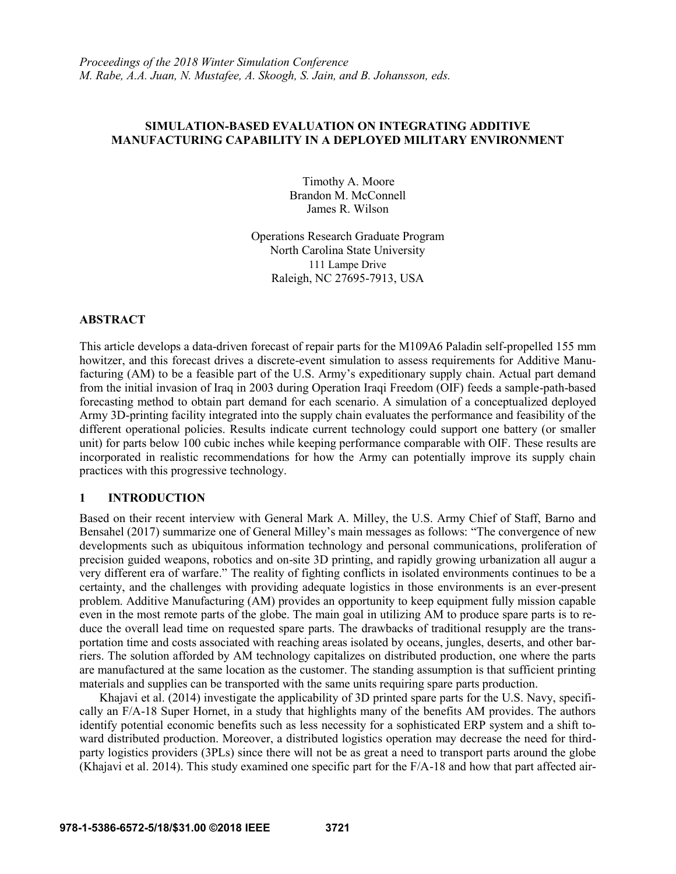# **SIMULATION-BASED EVALUATION ON INTEGRATING ADDITIVE MANUFACTURING CAPABILITY IN A DEPLOYED MILITARY ENVIRONMENT**

Timothy A. Moore Brandon M. McConnell James R. Wilson

Operations Research Graduate Program North Carolina State University 111 Lampe Drive Raleigh, NC 27695-7913, USA

## **ABSTRACT**

This article develops a data-driven forecast of repair parts for the M109A6 Paladin self-propelled 155 mm howitzer, and this forecast drives a discrete-event simulation to assess requirements for Additive Manufacturing (AM) to be a feasible part of the U.S. Army's expeditionary supply chain. Actual part demand from the initial invasion of Iraq in 2003 during Operation Iraqi Freedom (OIF) feeds a sample-path-based forecasting method to obtain part demand for each scenario. A simulation of a conceptualized deployed Army 3D-printing facility integrated into the supply chain evaluates the performance and feasibility of the different operational policies. Results indicate current technology could support one battery (or smaller unit) for parts below 100 cubic inches while keeping performance comparable with OIF. These results are incorporated in realistic recommendations for how the Army can potentially improve its supply chain practices with this progressive technology.

# **1 INTRODUCTION**

Based on their recent interview with General Mark A. Milley, the U.S. Army Chief of Staff, Barno and Bensahel (2017) summarize one of General Milley's main messages as follows: "The convergence of new developments such as ubiquitous information technology and personal communications, proliferation of precision guided weapons, robotics and on-site 3D printing, and rapidly growing urbanization all augur a very different era of warfare." The reality of fighting conflicts in isolated environments continues to be a certainty, and the challenges with providing adequate logistics in those environments is an ever-present problem. Additive Manufacturing (AM) provides an opportunity to keep equipment fully mission capable even in the most remote parts of the globe. The main goal in utilizing AM to produce spare parts is to reduce the overall lead time on requested spare parts. The drawbacks of traditional resupply are the transportation time and costs associated with reaching areas isolated by oceans, jungles, deserts, and other barriers. The solution afforded by AM technology capitalizes on distributed production, one where the parts are manufactured at the same location as the customer. The standing assumption is that sufficient printing materials and supplies can be transported with the same units requiring spare parts production.

Khajavi et al. (2014) investigate the applicability of 3D printed spare parts for the U.S. Navy, specifically an F/A-18 Super Hornet, in a study that highlights many of the benefits AM provides. The authors identify potential economic benefits such as less necessity for a sophisticated ERP system and a shift toward distributed production. Moreover, a distributed logistics operation may decrease the need for thirdparty logistics providers (3PLs) since there will not be as great a need to transport parts around the globe (Khajavi et al. 2014). This study examined one specific part for the F/A-18 and how that part affected air-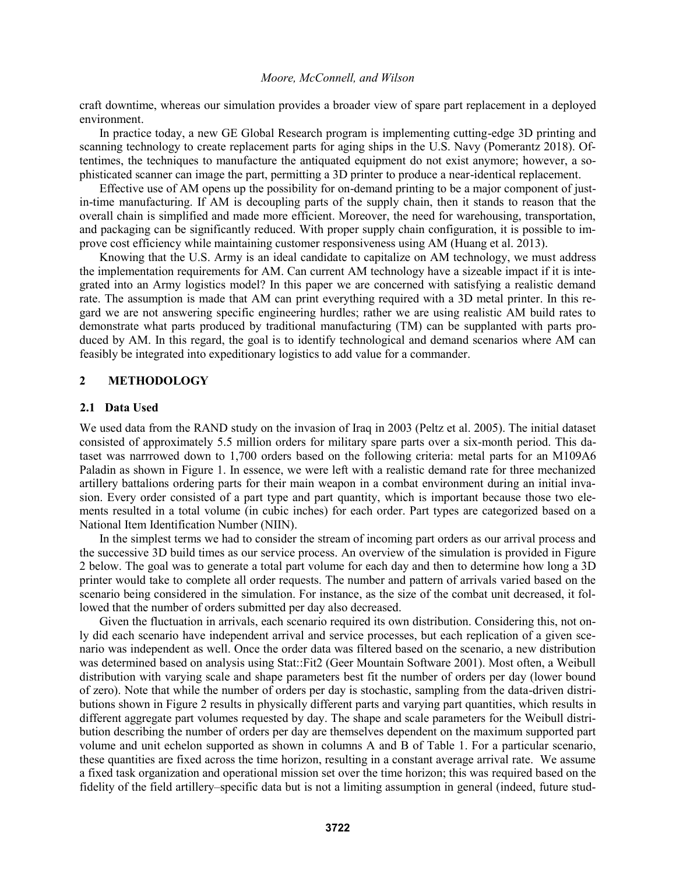craft downtime, whereas our simulation provides a broader view of spare part replacement in a deployed environment.

In practice today, a new GE Global Research program is implementing cutting-edge 3D printing and scanning technology to create replacement parts for aging ships in the U.S. Navy (Pomerantz 2018). Oftentimes, the techniques to manufacture the antiquated equipment do not exist anymore; however, a sophisticated scanner can image the part, permitting a 3D printer to produce a near-identical replacement.

Effective use of AM opens up the possibility for on-demand printing to be a major component of justin-time manufacturing. If AM is decoupling parts of the supply chain, then it stands to reason that the overall chain is simplified and made more efficient. Moreover, the need for warehousing, transportation, and packaging can be significantly reduced. With proper supply chain configuration, it is possible to improve cost efficiency while maintaining customer responsiveness using AM (Huang et al. 2013).

Knowing that the U.S. Army is an ideal candidate to capitalize on AM technology, we must address the implementation requirements for AM. Can current AM technology have a sizeable impact if it is integrated into an Army logistics model? In this paper we are concerned with satisfying a realistic demand rate. The assumption is made that AM can print everything required with a 3D metal printer. In this regard we are not answering specific engineering hurdles; rather we are using realistic AM build rates to demonstrate what parts produced by traditional manufacturing (TM) can be supplanted with parts produced by AM. In this regard, the goal is to identify technological and demand scenarios where AM can feasibly be integrated into expeditionary logistics to add value for a commander.

## **2 METHODOLOGY**

### **2.1 Data Used**

We used data from the RAND study on the invasion of Iraq in 2003 (Peltz et al. 2005). The initial dataset consisted of approximately 5.5 million orders for military spare parts over a six-month period. This dataset was narrrowed down to 1,700 orders based on the following criteria: metal parts for an M109A6 Paladin as shown in Figure 1. In essence, we were left with a realistic demand rate for three mechanized artillery battalions ordering parts for their main weapon in a combat environment during an initial invasion. Every order consisted of a part type and part quantity, which is important because those two elements resulted in a total volume (in cubic inches) for each order. Part types are categorized based on a National Item Identification Number (NIIN).

In the simplest terms we had to consider the stream of incoming part orders as our arrival process and the successive 3D build times as our service process. An overview of the simulation is provided in Figure 2 below. The goal was to generate a total part volume for each day and then to determine how long a 3D printer would take to complete all order requests. The number and pattern of arrivals varied based on the scenario being considered in the simulation. For instance, as the size of the combat unit decreased, it followed that the number of orders submitted per day also decreased.

Given the fluctuation in arrivals, each scenario required its own distribution. Considering this, not only did each scenario have independent arrival and service processes, but each replication of a given scenario was independent as well. Once the order data was filtered based on the scenario, a new distribution was determined based on analysis using Stat::Fit2 (Geer Mountain Software 2001). Most often, a Weibull distribution with varying scale and shape parameters best fit the number of orders per day (lower bound of zero). Note that while the number of orders per day is stochastic, sampling from the data-driven distributions shown in Figure 2 results in physically different parts and varying part quantities, which results in different aggregate part volumes requested by day. The shape and scale parameters for the Weibull distribution describing the number of orders per day are themselves dependent on the maximum supported part volume and unit echelon supported as shown in columns A and B of Table 1. For a particular scenario, these quantities are fixed across the time horizon, resulting in a constant average arrival rate. We assume a fixed task organization and operational mission set over the time horizon; this was required based on the fidelity of the field artillery–specific data but is not a limiting assumption in general (indeed, future stud-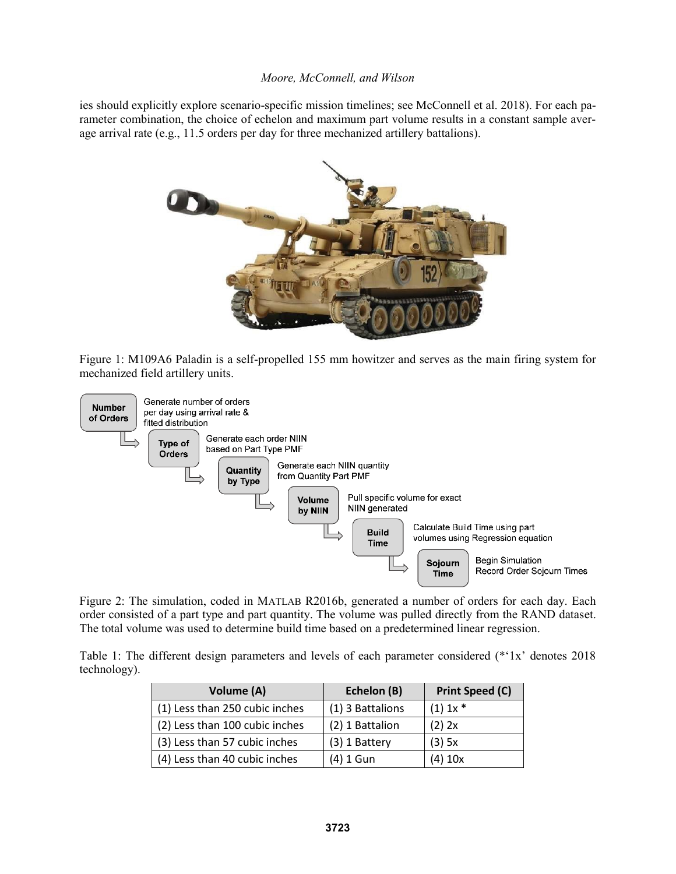ies should explicitly explore scenario-specific mission timelines; see McConnell et al. 2018). For each parameter combination, the choice of echelon and maximum part volume results in a constant sample average arrival rate (e.g., 11.5 orders per day for three mechanized artillery battalions).



Figure 1: M109A6 Paladin is a self-propelled 155 mm howitzer and serves as the main firing system for mechanized field artillery units.



Figure 2: The simulation, coded in MATLAB R2016b, generated a number of orders for each day. Each order consisted of a part type and part quantity. The volume was pulled directly from the RAND dataset. The total volume was used to determine build time based on a predetermined linear regression.

Table 1: The different design parameters and levels of each parameter considered (\*'1x' denotes 2018 technology).

| Volume (A)                     | Echelon (B)      | <b>Print Speed (C)</b> |
|--------------------------------|------------------|------------------------|
| (1) Less than 250 cubic inches | (1) 3 Battalions | $(1) 1x *$             |
| (2) Less than 100 cubic inches | (2) 1 Battalion  | $(2)$ 2x               |
| (3) Less than 57 cubic inches  | $(3)$ 1 Battery  | $(3)$ 5x               |
| (4) Less than 40 cubic inches  | $(4)$ 1 Gun      | (4) 10x                |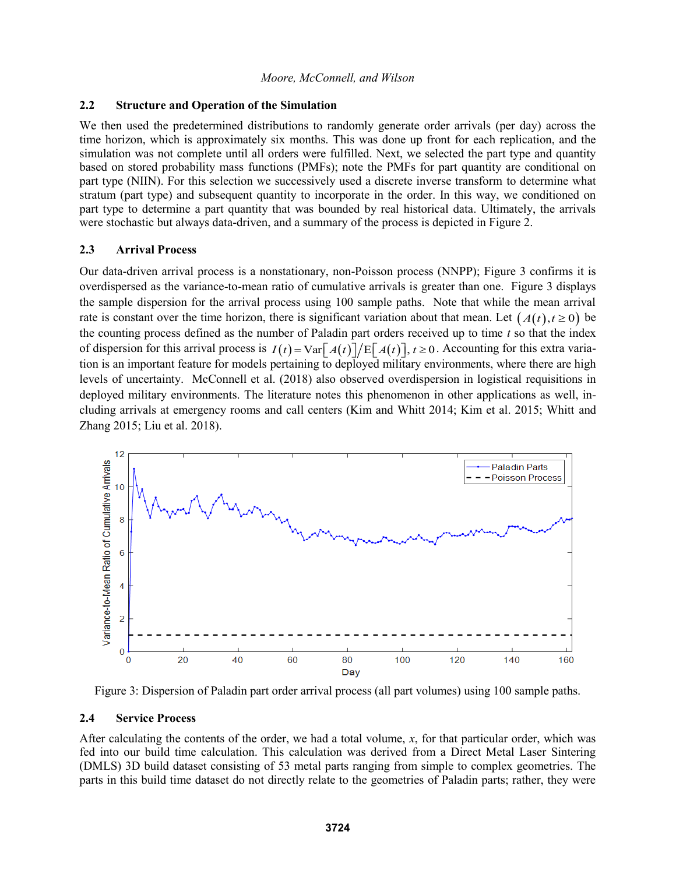## **2.2 Structure and Operation of the Simulation**

We then used the predetermined distributions to randomly generate order arrivals (per day) across the time horizon, which is approximately six months. This was done up front for each replication, and the simulation was not complete until all orders were fulfilled. Next, we selected the part type and quantity based on stored probability mass functions (PMFs); note the PMFs for part quantity are conditional on part type (NIIN). For this selection we successively used a discrete inverse transform to determine what stratum (part type) and subsequent quantity to incorporate in the order. In this way, we conditioned on part type to determine a part quantity that was bounded by real historical data. Ultimately, the arrivals were stochastic but always data-driven, and a summary of the process is depicted in Figure 2.

### **2.3 Arrival Process**

Our data-driven arrival process is a nonstationary, non-Poisson process (NNPP); Figure 3 confirms it is overdispersed as the variance-to-mean ratio of cumulative arrivals is greater than one. Figure 3 displays the sample dispersion for the arrival process using 100 sample paths. Note that while the mean arrival rate is constant over the time horizon, there is significant variation about that mean. Let  $(A(t), t \ge 0)$  be the counting process defined as the number of Paladin part orders received up to time *t* so that the index the counting process defined as the number of Paladin part orders received up to time t so that the index<br>of dispersion for this arrival process is  $I(t) = \text{Var}\left[A(t)\right] / \text{E}\left[A(t)\right]$ ,  $t \ge 0$ . Accounting for this extra variation is an important feature for models pertaining to deployed military environments, where there are high levels of uncertainty. McConnell et al. (2018) also observed overdispersion in logistical requisitions in deployed military environments. The literature notes this phenomenon in other applications as well, including arrivals at emergency rooms and call centers (Kim and Whitt 2014; Kim et al. 2015; Whitt and Zhang 2015; Liu et al. 2018).



Figure 3: Dispersion of Paladin part order arrival process (all part volumes) using 100 sample paths.

### **2.4 Service Process**

After calculating the contents of the order, we had a total volume, *x*, for that particular order, which was fed into our build time calculation. This calculation was derived from a Direct Metal Laser Sintering (DMLS) 3D build dataset consisting of 53 metal parts ranging from simple to complex geometries. The parts in this build time dataset do not directly relate to the geometries of Paladin parts; rather, they were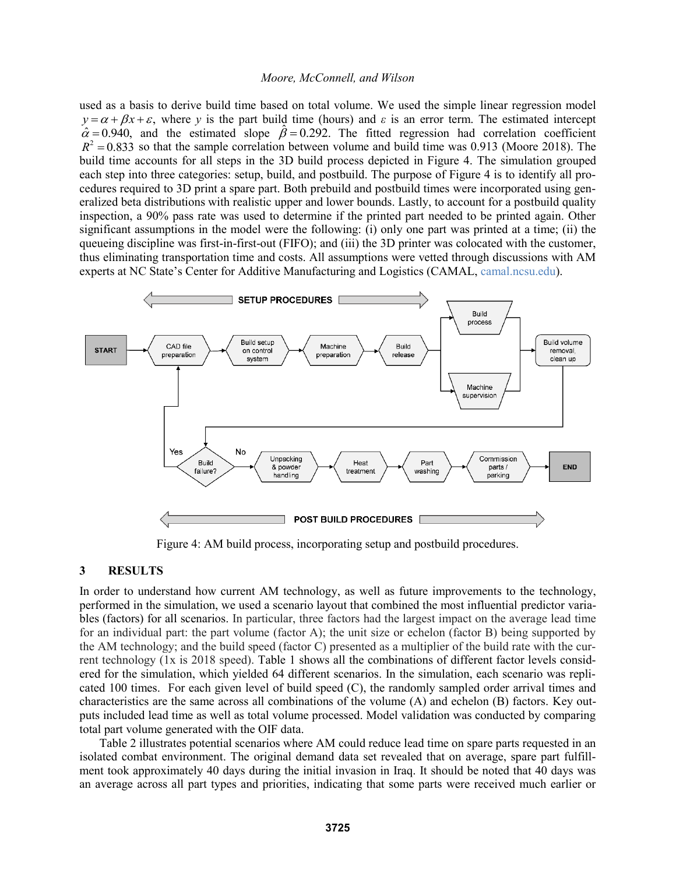used as a basis to derive build time based on total volume. We used the simple linear regression model  $y = \alpha + \beta x + \varepsilon$ , where *y* is the part build time (hours) and  $\varepsilon$  is an error term. The estimated intercept  $\hat{\alpha} = 0.940$ , and the estimated slope  $\hat{\beta} = 0.292$ . The fitted regression had correlation coefficient  $R^2 = 0.833$  so that the sample correlation between volume and build time was 0.913 (Moore 2018). The build time accounts for all steps in the 3D build process depicted in Figure 4. The simulation grouped each step into three categories: setup, build, and postbuild. The purpose of Figure 4 is to identify all procedures required to 3D print a spare part. Both prebuild and postbuild times were incorporated using generalized beta distributions with realistic upper and lower bounds. Lastly, to account for a postbuild quality inspection, a 90% pass rate was used to determine if the printed part needed to be printed again. Other significant assumptions in the model were the following: (i) only one part was printed at a time; (ii) the queueing discipline was first-in-first-out (FIFO); and (iii) the 3D printer was colocated with the customer, thus eliminating transportation time and costs. All assumptions were vetted through discussions with AM experts at NC State's Center for Additive Manufacturing and Logistics (CAMAL, camal.ncsu.edu).



Figure 4: AM build process, incorporating setup and postbuild procedures.

# **3 RESULTS**

In order to understand how current AM technology, as well as future improvements to the technology, performed in the simulation, we used a scenario layout that combined the most influential predictor variables (factors) for all scenarios. In particular, three factors had the largest impact on the average lead time for an individual part: the part volume (factor A); the unit size or echelon (factor B) being supported by the AM technology; and the build speed (factor C) presented as a multiplier of the build rate with the current technology (1x is 2018 speed). Table 1 shows all the combinations of different factor levels considered for the simulation, which yielded 64 different scenarios. In the simulation, each scenario was replicated 100 times. For each given level of build speed (C), the randomly sampled order arrival times and characteristics are the same across all combinations of the volume (A) and echelon (B) factors. Key outputs included lead time as well as total volume processed. Model validation was conducted by comparing total part volume generated with the OIF data.

Table 2 illustrates potential scenarios where AM could reduce lead time on spare parts requested in an isolated combat environment. The original demand data set revealed that on average, spare part fulfillment took approximately 40 days during the initial invasion in Iraq. It should be noted that 40 days was an average across all part types and priorities, indicating that some parts were received much earlier or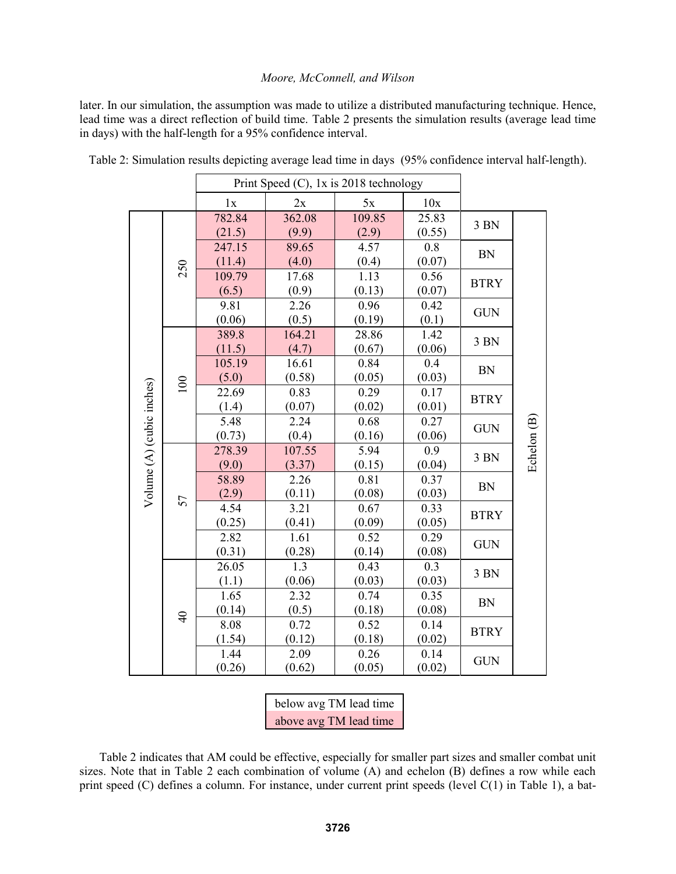later. In our simulation, the assumption was made to utilize a distributed manufacturing technique. Hence, lead time was a direct reflection of build time. Table 2 presents the simulation results (average lead time in days) with the half-length for a 95% confidence interval.

|                           |                | Print Speed $(C)$ , 1x is 2018 technology |                  |                    |                  |                                        |             |
|---------------------------|----------------|-------------------------------------------|------------------|--------------------|------------------|----------------------------------------|-------------|
|                           |                | 1x                                        | 2x               | 5x                 | 10x              |                                        |             |
|                           | 250            | 782.84                                    | 362.08           | 109.85             | 25.83            | 3 BN                                   |             |
|                           |                | (21.5)                                    | (9.9)            | (2.9)              | (0.55)           |                                        |             |
|                           |                | 247.15                                    | 89.65            | 4.57               | 0.8              | <b>BN</b>                              |             |
|                           |                | (11.4)                                    | (4.0)            | (0.4)              | (0.07)           |                                        |             |
|                           |                | 109.79                                    | 17.68            | 1.13               | 0.56             | <b>BTRY</b>                            |             |
|                           |                | (6.5)                                     | (0.9)            | (0.13)             | (0.07)           |                                        |             |
|                           |                | 9.81                                      | 2.26             | 0.96               | 0.42             | <b>GUN</b>                             |             |
|                           |                | (0.06)                                    | (0.5)            | (0.19)             | (0.1)            |                                        |             |
| Volume (A) (cubic inches) |                | 389.8                                     | 164.21           | $28.\overline{86}$ | 1.42             | 3 BN                                   |             |
|                           |                | (11.5)                                    | (4.7)            | (0.67)             | (0.06)           |                                        |             |
|                           |                | 105.19                                    | 16.61            | 0.84               | 0.4              | <b>BN</b>                              |             |
|                           | 100            | (5.0)                                     | (0.58)           | (0.05)             | (0.03)           |                                        |             |
|                           |                | 22.69                                     | 0.83             | 0.29               | 0.17             | <b>BTRY</b>                            |             |
|                           |                | (1.4)                                     | (0.07)           | (0.02)             | (0.01)           |                                        |             |
|                           |                | 5.48                                      | 2.24             | 0.68               | 0.27             | <b>GUN</b>                             |             |
|                           |                | (0.73)                                    | (0.4)            | (0.16)             | (0.06)           |                                        |             |
|                           | 57             | 278.39                                    | 107.55           | 5.94               | 0.9              | 3 BN                                   | Echelon (B) |
|                           |                | (9.0)                                     | (3.37)           | (0.15)             | (0.04)           |                                        |             |
|                           |                | 58.89                                     | 2.26             | 0.81               | 0.37             | <b>BN</b><br><b>BTRY</b><br><b>GUN</b> |             |
|                           |                | (2.9)                                     | (0.11)           | (0.08)             | (0.03)           |                                        |             |
|                           |                | 4.54                                      | 3.21             | 0.67               | 0.33             |                                        |             |
|                           |                | (0.25)                                    | (0.41)           | (0.09)             | (0.05)           |                                        |             |
|                           |                | 2.82                                      | 1.61             | 0.52               | 0.29             |                                        |             |
|                           |                | (0.31)                                    | (0.28)           | (0.14)             | (0.08)           |                                        |             |
|                           | $\overline{4}$ | 26.05                                     | $\overline{1.3}$ | 0.43               | $\overline{0.3}$ | 3 BN                                   |             |
|                           |                | (1.1)                                     | (0.06)           | (0.03)             | (0.03)           |                                        |             |
|                           |                | 1.65                                      | 2.32             | 0.74               | 0.35             | <b>BN</b>                              |             |
|                           |                | (0.14)                                    | (0.5)            | (0.18)             | (0.08)           |                                        |             |
|                           |                | 8.08                                      | 0.72             | 0.52               | 0.14             | <b>BTRY</b>                            |             |
|                           |                | (1.54)                                    | (0.12)           | (0.18)             | (0.02)           |                                        |             |
|                           |                | 1.44                                      | 2.09             | 0.26               | 0.14             | <b>GUN</b>                             |             |
|                           |                | (0.26)                                    | (0.62)           | (0.05)             | (0.02)           |                                        |             |

Table 2: Simulation results depicting average lead time in days (95% confidence interval half-length).

below avg TM lead time above avg TM lead time

Table 2 indicates that AM could be effective, especially for smaller part sizes and smaller combat unit sizes. Note that in Table 2 each combination of volume (A) and echelon (B) defines a row while each print speed (C) defines a column. For instance, under current print speeds (level C(1) in Table 1), a bat-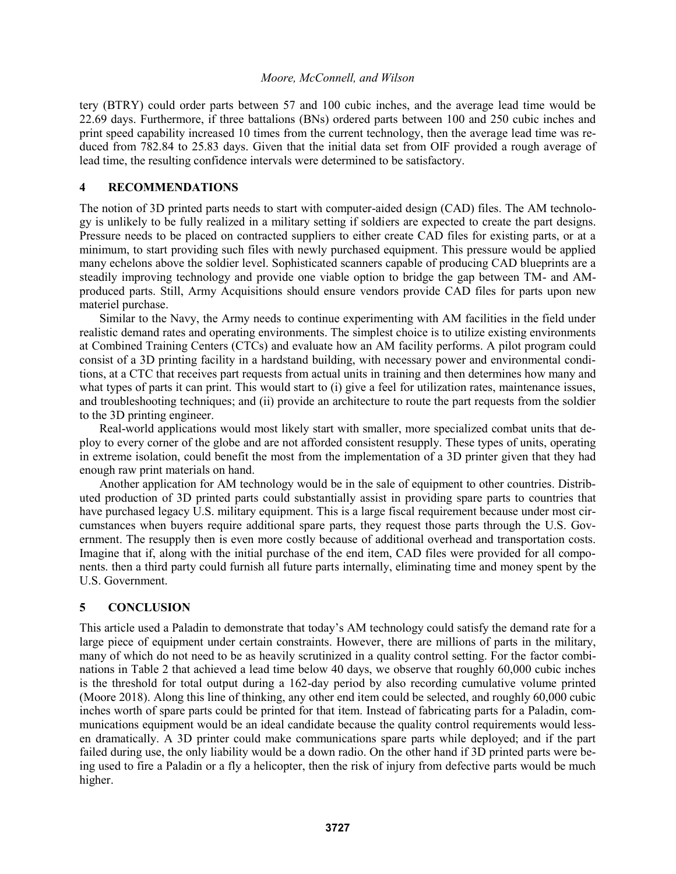tery (BTRY) could order parts between 57 and 100 cubic inches, and the average lead time would be 22.69 days. Furthermore, if three battalions (BNs) ordered parts between 100 and 250 cubic inches and print speed capability increased 10 times from the current technology, then the average lead time was reduced from 782.84 to 25.83 days. Given that the initial data set from OIF provided a rough average of lead time, the resulting confidence intervals were determined to be satisfactory.

## **4 RECOMMENDATIONS**

The notion of 3D printed parts needs to start with computer-aided design (CAD) files. The AM technology is unlikely to be fully realized in a military setting if soldiers are expected to create the part designs. Pressure needs to be placed on contracted suppliers to either create CAD files for existing parts, or at a minimum, to start providing such files with newly purchased equipment. This pressure would be applied many echelons above the soldier level. Sophisticated scanners capable of producing CAD blueprints are a steadily improving technology and provide one viable option to bridge the gap between TM- and AMproduced parts. Still, Army Acquisitions should ensure vendors provide CAD files for parts upon new materiel purchase.

Similar to the Navy, the Army needs to continue experimenting with AM facilities in the field under realistic demand rates and operating environments. The simplest choice is to utilize existing environments at Combined Training Centers (CTCs) and evaluate how an AM facility performs. A pilot program could consist of a 3D printing facility in a hardstand building, with necessary power and environmental conditions, at a CTC that receives part requests from actual units in training and then determines how many and what types of parts it can print. This would start to (i) give a feel for utilization rates, maintenance issues, and troubleshooting techniques; and (ii) provide an architecture to route the part requests from the soldier to the 3D printing engineer.

Real-world applications would most likely start with smaller, more specialized combat units that deploy to every corner of the globe and are not afforded consistent resupply. These types of units, operating in extreme isolation, could benefit the most from the implementation of a 3D printer given that they had enough raw print materials on hand.

Another application for AM technology would be in the sale of equipment to other countries. Distributed production of 3D printed parts could substantially assist in providing spare parts to countries that have purchased legacy U.S. military equipment. This is a large fiscal requirement because under most circumstances when buyers require additional spare parts, they request those parts through the U.S. Government. The resupply then is even more costly because of additional overhead and transportation costs. Imagine that if, along with the initial purchase of the end item, CAD files were provided for all components. then a third party could furnish all future parts internally, eliminating time and money spent by the U.S. Government.

# **5 CONCLUSION**

This article used a Paladin to demonstrate that today's AM technology could satisfy the demand rate for a large piece of equipment under certain constraints. However, there are millions of parts in the military, many of which do not need to be as heavily scrutinized in a quality control setting. For the factor combinations in Table 2 that achieved a lead time below 40 days, we observe that roughly 60,000 cubic inches is the threshold for total output during a 162-day period by also recording cumulative volume printed (Moore 2018). Along this line of thinking, any other end item could be selected, and roughly 60,000 cubic inches worth of spare parts could be printed for that item. Instead of fabricating parts for a Paladin, communications equipment would be an ideal candidate because the quality control requirements would lessen dramatically. A 3D printer could make communications spare parts while deployed; and if the part failed during use, the only liability would be a down radio. On the other hand if 3D printed parts were being used to fire a Paladin or a fly a helicopter, then the risk of injury from defective parts would be much higher.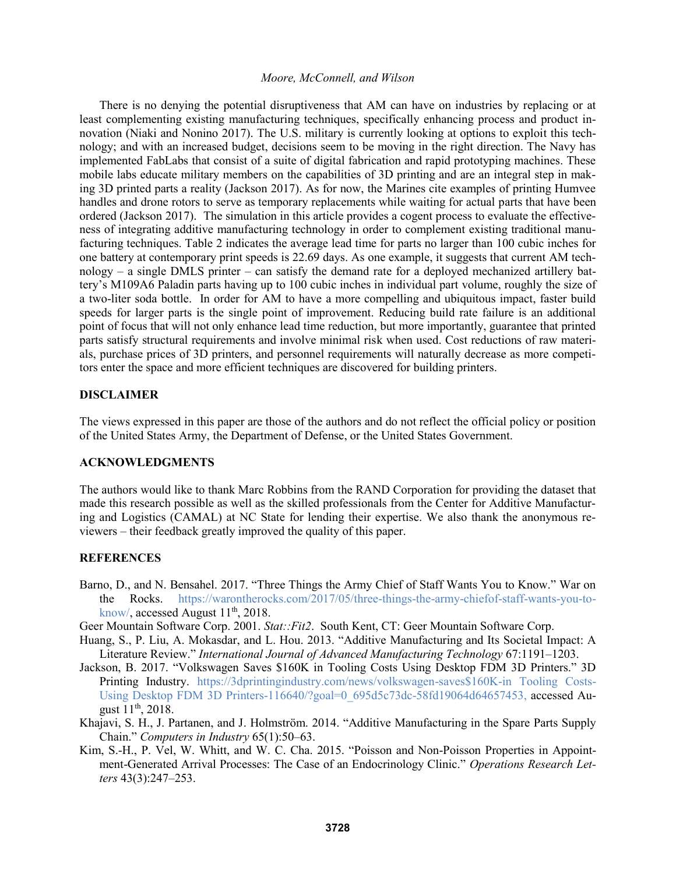There is no denying the potential disruptiveness that AM can have on industries by replacing or at least complementing existing manufacturing techniques, specifically enhancing process and product innovation (Niaki and Nonino 2017). The U.S. military is currently looking at options to exploit this technology; and with an increased budget, decisions seem to be moving in the right direction. The Navy has implemented FabLabs that consist of a suite of digital fabrication and rapid prototyping machines. These mobile labs educate military members on the capabilities of 3D printing and are an integral step in making 3D printed parts a reality (Jackson 2017). As for now, the Marines cite examples of printing Humvee handles and drone rotors to serve as temporary replacements while waiting for actual parts that have been ordered (Jackson 2017). The simulation in this article provides a cogent process to evaluate the effectiveness of integrating additive manufacturing technology in order to complement existing traditional manufacturing techniques. Table 2 indicates the average lead time for parts no larger than 100 cubic inches for one battery at contemporary print speeds is 22.69 days. As one example, it suggests that current AM technology – a single DMLS printer – can satisfy the demand rate for a deployed mechanized artillery battery's M109A6 Paladin parts having up to 100 cubic inches in individual part volume, roughly the size of a two-liter soda bottle. In order for AM to have a more compelling and ubiquitous impact, faster build speeds for larger parts is the single point of improvement. Reducing build rate failure is an additional point of focus that will not only enhance lead time reduction, but more importantly, guarantee that printed parts satisfy structural requirements and involve minimal risk when used. Cost reductions of raw materials, purchase prices of 3D printers, and personnel requirements will naturally decrease as more competitors enter the space and more efficient techniques are discovered for building printers.

### **DISCLAIMER**

The views expressed in this paper are those of the authors and do not reflect the official policy or position of the United States Army, the Department of Defense, or the United States Government.

# **ACKNOWLEDGMENTS**

The authors would like to thank Marc Robbins from the RAND Corporation for providing the dataset that made this research possible as well as the skilled professionals from the Center for Additive Manufacturing and Logistics (CAMAL) at NC State for lending their expertise. We also thank the anonymous reviewers – their feedback greatly improved the quality of this paper.

### **REFERENCES**

- Barno, D., and N. Bensahel. 2017. "Three Things the Army Chief of Staff Wants You to Know." War on the Rocks. https://warontherocks.com/2017/05/three-things-the-army-chiefof-staff-wants-you-toknow/, accessed August 11<sup>th</sup>, 2018.
- Geer Mountain Software Corp. 2001. *Stat::Fit2*. South Kent, CT: Geer Mountain Software Corp.
- Huang, S., P. Liu, A. Mokasdar, and L. Hou. 2013. "Additive Manufacturing and Its Societal Impact: A Literature Review." *International Journal of Advanced Manufacturing Technology* 67:1191–1203.
- Jackson, B. 2017. "Volkswagen Saves \$160K in Tooling Costs Using Desktop FDM 3D Printers." 3D Printing Industry. https://3dprintingindustry.com/news/volkswagen-saves\$160K-in Tooling Costs-Using Desktop FDM 3D Printers-116640/?goal=0\_695d5c73dc-58fd19064d64657453, accessed August 11<sup>th</sup>, 2018.
- Khajavi, S. H., J. Partanen, and J. Holmström. 2014. "Additive Manufacturing in the Spare Parts Supply Chain." *Computers in Industry* 65(1):50–63.
- Kim, S.-H., P. Vel, W. Whitt, and W. C. Cha. 2015. "Poisson and Non-Poisson Properties in Appointment-Generated Arrival Processes: The Case of an Endocrinology Clinic." *Operations Research Letters* 43(3):247–253.